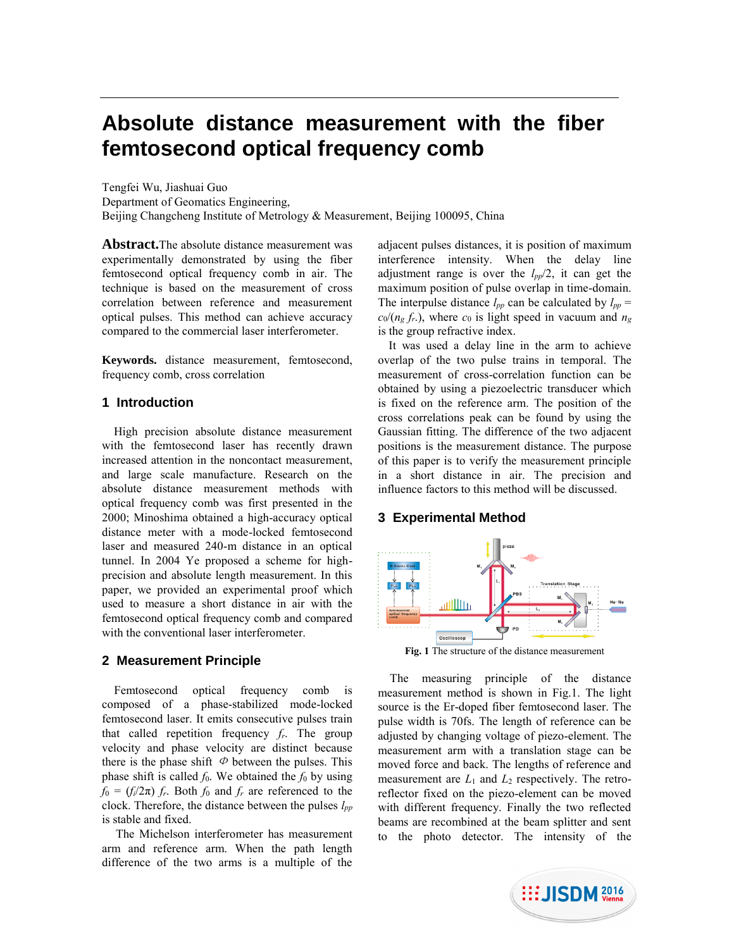# **Absolute distance measurement with the fiber femtosecond optical frequency comb**

Tengfei Wu, Jiashuai Guo Department of Geomatics Engineering, Beijing Changcheng Institute of Metrology & Measurement, Beijing 100095, China

**Abstract.**The absolute distance measurement was experimentally demonstrated by using the fiber femtosecond optical frequency comb in air. The technique is based on the measurement of cross correlation between reference and measurement optical pulses. This method can achieve accuracy compared to the commercial laser interferometer.

**Keywords.** distance measurement, femtosecond, frequency comb, cross correlation

## **1 Introduction**

High precision absolute distance measurement with the femtosecond laser has recently drawn increased attention in the noncontact measurement, and large scale manufacture. Research on the absolute distance measurement methods with optical frequency comb was first presented in the 2000; Minoshima obtained a high-accuracy optical distance meter with a mode-locked femtosecond laser and measured 240-m distance in an optical tunnel. In 2004 Ye proposed a scheme for highprecision and absolute length measurement. In this paper, we provided an experimental proof which used to measure a short distance in air with the femtosecond optical frequency comb and compared with the conventional laser interferometer.

## **2 Measurement Principle**

 Femtosecond optical frequency comb is composed of a phase-stabilized mode-locked femtosecond laser. It emits consecutive pulses train that called repetition frequency *fr*. The group velocity and phase velocity are distinct because there is the phase shift  $\Phi$  between the pulses. This phase shift is called  $f_0$ . We obtained the  $f_0$  by using  $f_0 = (f_i/2\pi) f_r$ . Both  $f_0$  and  $f_r$  are referenced to the clock. Therefore, the distance between the pulses *lpp* is stable and fixed.

The Michelson interferometer has measurement arm and reference arm. When the path length difference of the two arms is a multiple of the

adjacent pulses distances, it is position of maximum interference intensity. When the delay line adjustment range is over the *lpp*/2, it can get the maximum position of pulse overlap in time-domain. The interpulse distance  $l_{pp}$  can be calculated by  $l_{pp}$  =  $c_0/(n_g f_r)$ , where  $c_0$  is light speed in vacuum and  $n_g$ is the group refractive index.

It was used a delay line in the arm to achieve overlap of the two pulse trains in temporal. The measurement of cross-correlation function can be obtained by using a piezoelectric transducer which is fixed on the reference arm. The position of the cross correlations peak can be found by using the Gaussian fitting. The difference of the two adjacent positions is the measurement distance. The purpose of this paper is to verify the measurement principle in a short distance in air. The precision and influence factors to this method will be discussed.

## **3 Experimental Method**



**Fig. 1** The structure of the distance measurement

The measuring principle of the distance measurement method is shown in Fig.1. The light source is the Er-doped fiber femtosecond laser. The pulse width is 70fs. The length of reference can be adjusted by changing voltage of piezo-element. The measurement arm with a translation stage can be moved force and back. The lengths of reference and measurement are  $L_1$  and  $L_2$  respectively. The retroreflector fixed on the piezo-element can be moved with different frequency. Finally the two reflected beams are recombined at the beam splitter and sent to the photo detector. The intensity of the